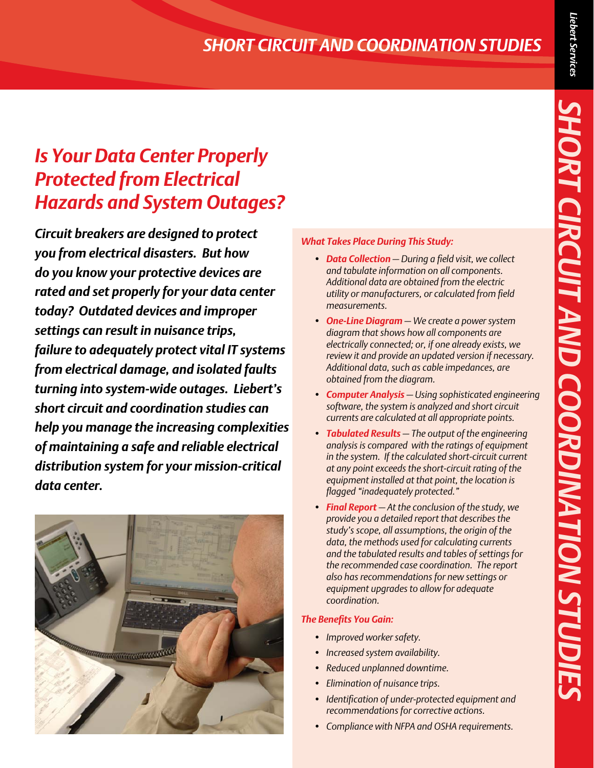# *SHORT CIRCUIT AND COORDINATION STUDIES*

# *Is Your Data Center Properly Protected from Electrical Hazards and System Outages?*

*Circuit breakers are designed to protect you from electrical disasters. But how do you know your protective devices are rated and set properly for your data center today? Outdated devices and improper settings can result in nuisance trips, failure to adequately protect vital IT systems from electrical damage, and isolated faults turning into system-wide outages. Liebert's short circuit and coordination studies can help you manage the increasing complexities of maintaining a safe and reliable electrical distribution system for your mission-critical data center.* 



#### *What Takes Place During This Study:*

- *• Data Collection — During a field visit, we collect and tabulate information on all components. Additional data are obtained from the electric utility or manufacturers, or calculated from field measurements.*
- *• One-Line Diagram — We create a power system diagram that shows how all components are electrically connected; or, if one already exists, we review it and provide an updated version if necessary. Additional data, such as cable impedances, are obtained from the diagram.*
- *• Computer Analysis — Using sophisticated engineering software, the system is analyzed and short circuit currents are calculated at all appropriate points.*
- *• Tabulated Results — The output of the engineering analysis is compared with the ratings of equipment in the system. If the calculated short-circuit current at any point exceeds the short-circuit rating of the equipment installed at that point, the location is flagged "inadequately protected."*
- *• Final Report — At the conclusion of the study, we provide you a detailed report that describes the study's scope, all assumptions, the origin of the data, the methods used for calculating currents and the tabulated results and tables of settings for the recommended case coordination. The report also has recommendations for new settings or equipment upgrades to allow for adequate coordination.*

#### *The Benefits You Gain:*

- *• Improved worker safety.*
- *• Increased system availability.*
- *• Reduced unplanned downtime.*
- *• Elimination of nuisance trips.*
- *• Identification of under-protected equipment and recommendations for corrective actions.*
- *• Compliance with NFPA and OSHA requirements.*